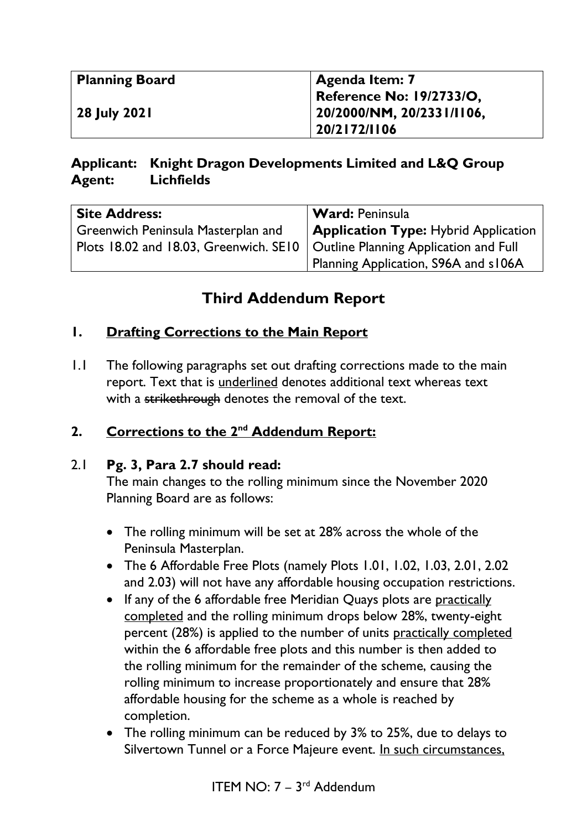| <b>Planning Board</b> | Agenda Item: 7                  |
|-----------------------|---------------------------------|
|                       | <b>Reference No: 19/2733/O,</b> |
| 28 July 2021          | $120/2000/NM$ , 20/2331/1106,   |
|                       | 20/2172/1106                    |

## **Applicant: Knight Dragon Developments Limited and L&Q Group Agent: Lichfields**

| <b>Site Address:</b>                                                           | <b>Ward: Peninsula</b>                      |
|--------------------------------------------------------------------------------|---------------------------------------------|
| Greenwich Peninsula Masterplan and                                             | <b>Application Type:</b> Hybrid Application |
| Plots 18.02 and 18.03, Greenwich. SE10   Outline Planning Application and Full |                                             |
|                                                                                | Planning Application, S96A and s106A        |

# **Third Addendum Report**

## **1. Drafting Corrections to the Main Report**

1.1 The following paragraphs set out drafting corrections made to the main report. Text that is underlined denotes additional text whereas text with a strikethrough denotes the removal of the text.

## **2. Corrections to the 2nd Addendum Report:**

#### 2.1 **Pg. 3, Para 2.7 should read:**

The main changes to the rolling minimum since the November 2020 Planning Board are as follows:

- The rolling minimum will be set at 28% across the whole of the Peninsula Masterplan.
- The 6 Affordable Free Plots (namely Plots 1.01, 1.02, 1.03, 2.01, 2.02 and 2.03) will not have any affordable housing occupation restrictions.
- If any of the 6 affordable free Meridian Quays plots are practically completed and the rolling minimum drops below 28%, twenty-eight percent (28%) is applied to the number of units practically completed within the 6 affordable free plots and this number is then added to the rolling minimum for the remainder of the scheme, causing the rolling minimum to increase proportionately and ensure that 28% affordable housing for the scheme as a whole is reached by completion.
- The rolling minimum can be reduced by 3% to 25%, due to delays to Silvertown Tunnel or a Force Majeure event. In such circumstances,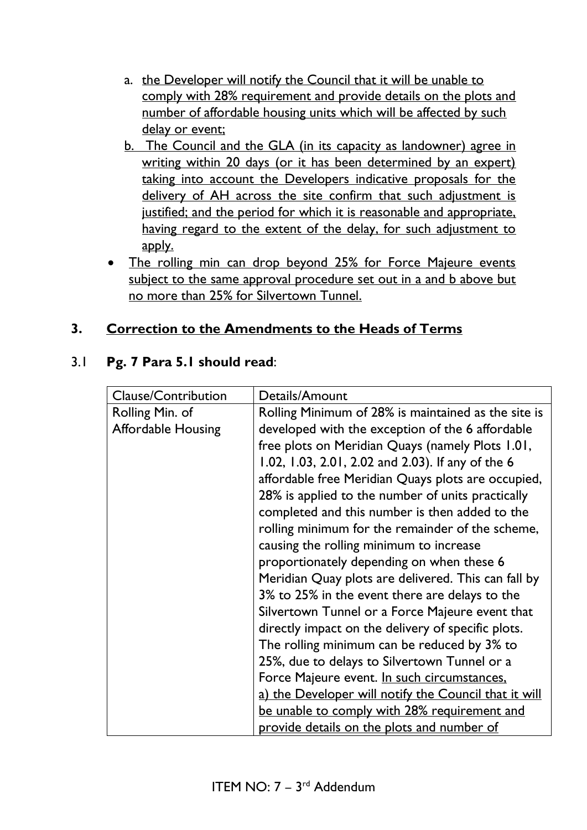- a. the Developer will notify the Council that it will be unable to comply with 28% requirement and provide details on the plots and number of affordable housing units which will be affected by such delay or event;
- b. The Council and the GLA (in its capacity as landowner) agree in writing within 20 days (or it has been determined by an expert) taking into account the Developers indicative proposals for the delivery of AH across the site confirm that such adjustment is justified; and the period for which it is reasonable and appropriate, having regard to the extent of the delay, for such adjustment to apply.
- The rolling min can drop beyond 25% for Force Majeure events subject to the same approval procedure set out in a and b above but no more than 25% for Silvertown Tunnel.

## **3. Correction to the Amendments to the Heads of Terms**

#### 3.1 **Pg. 7 Para 5.1 should read**:

| <b>Clause/Contribution</b> | Details/Amount                                        |
|----------------------------|-------------------------------------------------------|
| Rolling Min. of            | Rolling Minimum of 28% is maintained as the site is   |
| <b>Affordable Housing</b>  | developed with the exception of the 6 affordable      |
|                            | free plots on Meridian Quays (namely Plots 1.01,      |
|                            | 1.02, 1.03, 2.01, 2.02 and 2.03). If any of the 6     |
|                            | affordable free Meridian Quays plots are occupied,    |
|                            | 28% is applied to the number of units practically     |
|                            | completed and this number is then added to the        |
|                            | rolling minimum for the remainder of the scheme,      |
|                            | causing the rolling minimum to increase               |
|                            | proportionately depending on when these 6             |
|                            | Meridian Quay plots are delivered. This can fall by   |
|                            | 3% to 25% in the event there are delays to the        |
|                            | Silvertown Tunnel or a Force Majeure event that       |
|                            | directly impact on the delivery of specific plots.    |
|                            | The rolling minimum can be reduced by 3% to           |
|                            | 25%, due to delays to Silvertown Tunnel or a          |
|                            | Force Majeure event. In such circumstances,           |
|                            | a) the Developer will notify the Council that it will |
|                            | be unable to comply with 28% requirement and          |
|                            | provide details on the plots and number of            |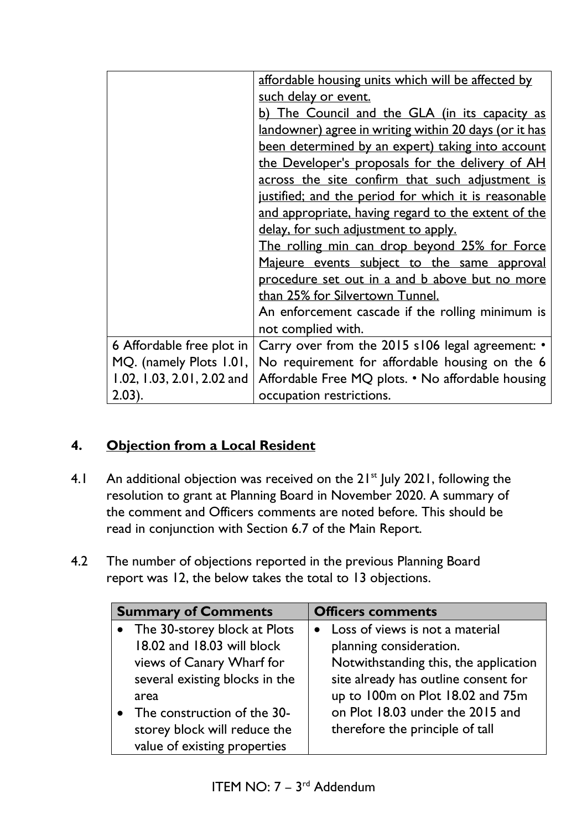|                            | affordable housing units which will be affected by    |
|----------------------------|-------------------------------------------------------|
|                            | such delay or event.                                  |
|                            | b) The Council and the GLA (in its capacity as        |
|                            | landowner) agree in writing within 20 days (or it has |
|                            | been determined by an expert) taking into account     |
|                            | the Developer's proposals for the delivery of AH      |
|                            | across the site confirm that such adjustment is       |
|                            | justified; and the period for which it is reasonable  |
|                            | and appropriate, having regard to the extent of the   |
|                            | delay, for such adjustment to apply.                  |
|                            | The rolling min can drop beyond 25% for Force         |
|                            | Majeure events subject to the same approval           |
|                            | procedure set out in a and b above but no more        |
|                            | than 25% for Silvertown Tunnel.                       |
|                            | An enforcement cascade if the rolling minimum is      |
|                            | not complied with.                                    |
| 6 Affordable free plot in  | Carry over from the 2015 s106 legal agreement: •      |
| MQ. (namely Plots 1.01,    | No requirement for affordable housing on the 6        |
| 1.02, 1.03, 2.01, 2.02 and | Affordable Free MQ plots. • No affordable housing     |
| $(2.03)$ .                 | occupation restrictions.                              |

## **4. Objection from a Local Resident**

- 4.1 An additional objection was received on the  $21^{st}$  July 2021, following the resolution to grant at Planning Board in November 2020. A summary of the comment and Officers comments are noted before. This should be read in conjunction with Section 6.7 of the Main Report.
- 4.2 The number of objections reported in the previous Planning Board report was 12, the below takes the total to 13 objections.

| <b>Summary of Comments</b>                                                                                                  | <b>Officers comments</b>                                                                                                                      |
|-----------------------------------------------------------------------------------------------------------------------------|-----------------------------------------------------------------------------------------------------------------------------------------------|
| • The 30-storey block at Plots<br>18.02 and 18.03 will block<br>views of Canary Wharf for<br>several existing blocks in the | • Loss of views is not a material<br>planning consideration.<br>Notwithstanding this, the application<br>site already has outline consent for |
| area<br>• The construction of the 30-<br>storey block will reduce the<br>value of existing properties                       | up to 100m on Plot 18.02 and 75m<br>on Plot 18.03 under the 2015 and<br>therefore the principle of tall                                       |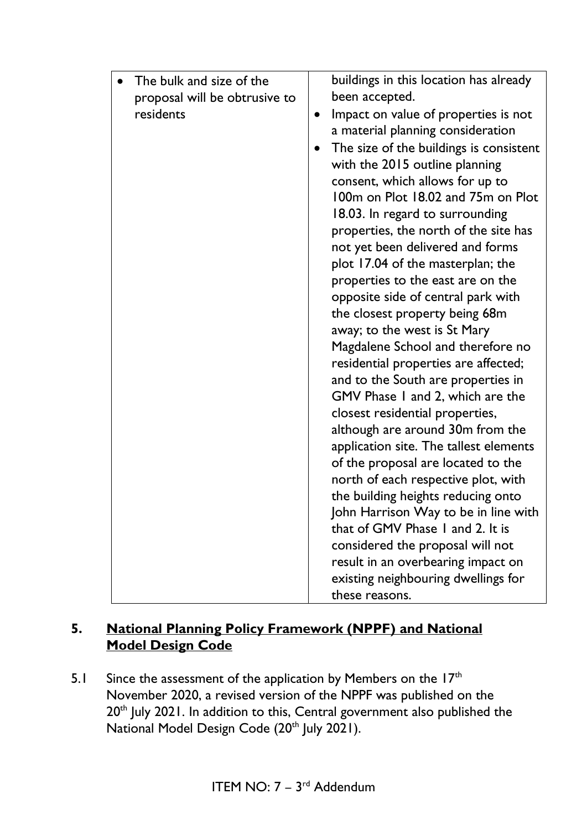| The bulk and size of the      |           | buildings in this location has already  |
|-------------------------------|-----------|-----------------------------------------|
| proposal will be obtrusive to |           | been accepted.                          |
| residents                     | $\bullet$ | Impact on value of properties is not    |
|                               |           | a material planning consideration       |
|                               |           | The size of the buildings is consistent |
|                               |           | with the 2015 outline planning          |
|                               |           | consent, which allows for up to         |
|                               |           | 100m on Plot 18.02 and 75m on Plot      |
|                               |           | 18.03. In regard to surrounding         |
|                               |           | properties, the north of the site has   |
|                               |           | not yet been delivered and forms        |
|                               |           | plot 17.04 of the masterplan; the       |
|                               |           | properties to the east are on the       |
|                               |           | opposite side of central park with      |
|                               |           | the closest property being 68m          |
|                               |           | away; to the west is St Mary            |
|                               |           | Magdalene School and therefore no       |
|                               |           | residential properties are affected;    |
|                               |           | and to the South are properties in      |
|                               |           | GMV Phase 1 and 2, which are the        |
|                               |           | closest residential properties,         |
|                               |           | although are around 30m from the        |
|                               |           | application site. The tallest elements  |
|                               |           | of the proposal are located to the      |
|                               |           | north of each respective plot, with     |
|                               |           | the building heights reducing onto      |
|                               |           | John Harrison Way to be in line with    |
|                               |           | that of GMV Phase 1 and 2. It is        |
|                               |           | considered the proposal will not        |
|                               |           | result in an overbearing impact on      |
|                               |           | existing neighbouring dwellings for     |
|                               |           | these reasons.                          |

## **5. National Planning Policy Framework (NPPF) and National Model Design Code**

5.1 Since the assessment of the application by Members on the  $17<sup>th</sup>$ November 2020, a revised version of the NPPF was published on the 20<sup>th</sup> July 2021. In addition to this, Central government also published the National Model Design Code (20<sup>th</sup> July 2021).